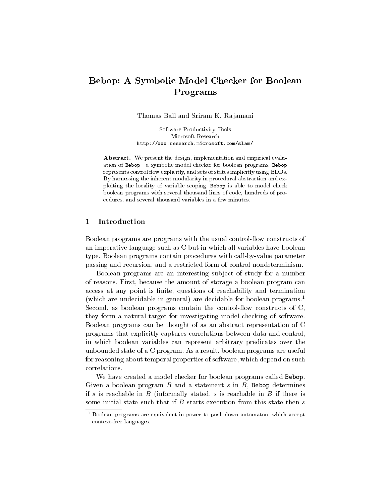# Bebop: A Symbolic Model Checker for Boolean Programs

Thomas Ball and Sriram K. Rajamani

Software Productivity Tools Microsoft Research http://www.research.microsoft.com/slam/

Abstract. We present the design, implementation and empirical evaluation of Bebop-a symbolic model checker for boolean programs. Bebop represents control flow explicitly, and sets of states implicitly using BDDs. By harnessing the inherent modularity in procedural abstraction and exploiting the locality of variable scoping, Bebop is able to model check boolean programs with several thousand lines of code, hundreds of procedures, and several thousand variables in a few minutes.

## 1 Introduction

Boolean programs are programs with the usual control-flow constructs of an imperative language such as C but in which all variables have boolean type. Boolean programs contain procedures with call-by-value parameter passing and recursion, and a restricted form of control nondeterminism.

Boolean programs are an interesting sub ject of study for a number of reasons. First, because the amount of storage a boolean program can access at any point is finite, questions of reachability and termination (which are undecidable in general) are decidable for boolean programs.<sup>1</sup> Second, as boolean programs contain the control-flow constructs of C, they form a natural target for investigating model checking of software. Boolean programs can be thought of as an abstract representation of C programs that explicitly captures correlations between data and control, in which boolean variables can represent arbitrary predicates over the unbounded state of a C program. As a result, boolean programs are useful for reasoning about temporal properties of software, which depend on such correlations.

We have created a model checker for boolean programs called Bebop. Given a boolean program  $B$  and a statement  $s$  in  $B$ , Bebop determines if s is reachable in  $B$  (informally stated, s is reachable in  $B$  if there is some initial state such that if  $B$  starts execution from this state then  $s$ 

<sup>1</sup> Boolean programs are equivalent in power to push-down automaton, which accept context-free languages.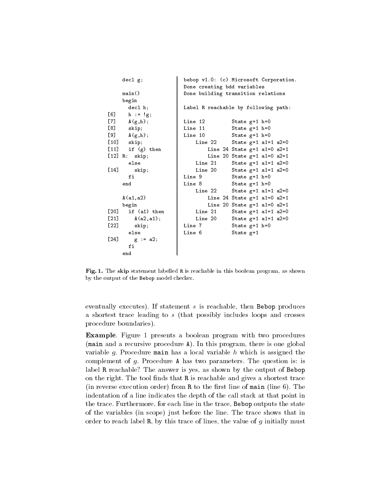|                    | decl g;               | bebop v1.0: (c) Microsoft Corporation.  |
|--------------------|-----------------------|-----------------------------------------|
|                    |                       | Done creating bdd variables             |
|                    | main()                | Done building transition relations      |
|                    | begin                 |                                         |
|                    | decl h;               | Label R reachable by following path:    |
|                    | [6] $h := g;$         |                                         |
|                    | [7] $A(g,h)$ ;        | Line 12<br>State $g=1$ h=0              |
|                    | $[8]$ skip;           | Line 11<br>State $g=1$ h=0              |
|                    | $[9]$ $A(g,h);$       | Line 10<br>State $g=1$ h=0              |
|                    | $[10]$ skip;          | State $g=1$ a1=1 a2=0<br>Line 22        |
|                    | $[11]$ if $(g)$ then  | Line 24 State $g=1$ a1=0 a2=1           |
|                    | $[12]$ R: skip;       | Line 20 State $g=1$ a1=0 a2=1           |
|                    | else                  | State $g=1$ a1=1 a2=0<br>Line 21        |
|                    | $[14]$ skip;          | State $g=1$ a1=1 a2=0<br>Line 20        |
|                    | fi                    | Line 9<br>State $g=1$ h=0               |
|                    | end                   | Line 8<br>State $g=1$ h=0               |
|                    |                       | Line 22<br>State $g=1$ a1=1 a2=0        |
|                    | A(a1, a2)             | Line 24 State $g=1$ a1=0 a2=1           |
|                    | begin                 | Line 20 State $g=1$ a1=0 a2=1           |
|                    | $[20]$ if $(a1)$ then | <b>Line 21</b><br>State $g=1$ a1=1 a2=0 |
|                    | $[21]$ $A(a2, a1);$   | Line 20<br>State $g=1$ a1=1 a2=0        |
| [22]               | skip;                 | Line 7<br>State $g=1$ h=0               |
|                    | else                  | Line 6<br>State $g=1$                   |
| $\left[ 24\right]$ | $g := a2;$            |                                         |
|                    | fi                    |                                         |
|                    | end                   |                                         |

Fig. 1. The skip statement labelled R is reachable in this boolean program, as shown by the output of the Bebop model checker.

eventually executes). If statement  $s$  is reachable, then Bebop produces a shortest trace leading to <sup>s</sup> (that possibly includes loops and crosses procedure boundaries).

Example. Figure 1 presents a boolean program with two procedures (main and a recursive procedure A). In this program, there is one global variable g. Procedure main has a local variable  $h$  which is assigned the complement of g. Procedure A has two parameters. The question is: is label R reachable? The answer is yes, as shown by the output of Bebop on the right. The tool finds that R is reachable and gives a shortest trace (in reverse execution order) from  $R$  to the first line of main (line 6). The indentation of a line indicates the depth of the call stack at that point in the trace. Furthermore, for each line in the trace, Bebop outputs the state of the variables (in scope) just before the line. The trace shows that in order to reach label  $R$ , by this trace of lines, the value of  $g$  initially must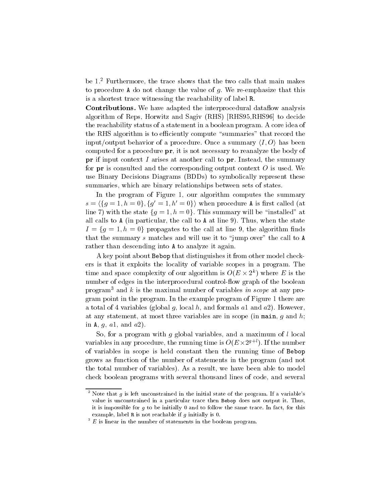be 1.2 Furthermore, the trace shows that the two calls that main makes to procedure A do not change the value of  $g$ . We re-emphasize that this is a shortest trace witnessing the reachability of label R.

Contributions. We have adapted the interprocedural dataflow analysis algorithm of Reps, Horwitz and Sagiv (RHS) [RHS95,RHS96] to decide the reachability status of a statement in a boolean program. A core idea of the RHS algorithm is to efficiently compute "summaries" that record the input/output behavior of a procedure. Once a summary  $\langle I, O \rangle$  has been computed for a procedure pr, it is not necessary to reanalyze the body of  $pr$  if input context I arises at another call to  $pr$ . Instead, the summary for  $pr$  is consulted and the corresponding output context  $O$  is used. We use Binary Decisions Diagrams (BDDs) to symbolically represent these summaries, which are binary relationships between sets of states.

In the program of Figure 1, our algorithm computes the summary  $s = \{g = 1, h = 0\}$ ,  $\{g = 1, h = 0\}$ ) when procedure A is first called (at line 7) with the state  $\{g = 1, h = 0\}$ . This summary will be "installed" at all calls to A (in particular, the call to A at line 9). Thus, when the state  $I = \{g = 1, h = 0\}$  propagates to the call at line 9, the algorithm music that the summary  $s$  matches and will use it to "jump over" the call to  $A$ rather than descending into A to analyze it again.

A key point about Bebop that distinguishes it from other model checkers is that it exploits the locality of variable scopes in a program. The time and space complexity of our algorithm is  $O(E \times 2^\circ)$  where  $E$  is the number of edges in the interprocedural control-flow graph of the boolean program<sup>3</sup> and k is the maximal number of variables in scope at any program point in the program. In the example program of Figure 1 there are a total of 4 variables (global g, local h, and formals a1 and  $a2$ ). However, at any statement, at most three variables are in scope (in main,  $q$  and  $h$ ; in A,  $g$ ,  $a1$ , and  $a2$ ).

So, for a program with  $q$  global variables, and a maximum of  $l$  local variables in any procedure, the running time is  $O(E\times 2^{g+\varepsilon}).$  If the number of variables in scope is held constant then the running time of Bebop grows as function of the number of statements in the program (and not the total number of variables). As a result, we have been able to model check boolean programs with several thousand lines of code, and several

<sup>&</sup>lt;sup>2</sup> Note that g is left unconstrained in the initial state of the program. If a variable's value is unconstrained in a particular trace then Bebop does not output it. Thus, it is impossible for  $g$  to be initially 0 and to follow the same trace. In fact, for this example, label  $R$  is not reachable if  $g$  initially is 0.

 $\,$   $\,$  E is linear in the number of statements in the boolean program.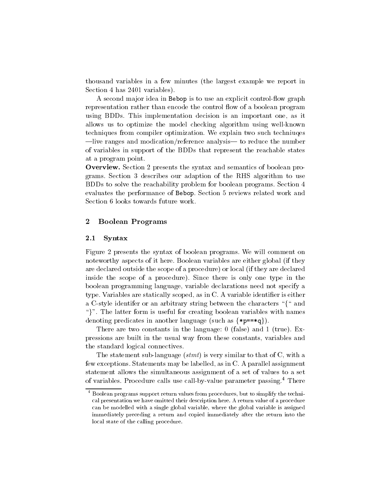thousand variables in a few minutes (the largest example we report in Section 4 has 2401 variables).

A second major idea in Bebop is to use an explicit control-flow graph representation rather than encode the control flow of a boolean program using BDDs. This implementation decision is an important one, as it allows us to optimize the model checking algorithm using well-known techniques from compiler optimization. We explain two such techniuqes  $\frac{1}{\text{like}}$  ranges and modication/reference analysis— to reduce the number of variables in support of the BDDs that represent the reachable states at a program point.

Overview. Section 2 presents the syntax and semantics of boolean programs. Section 3 describes our adaption of the RHS algorithm to use BDDs to solve the reachability problem for boolean programs. Section 4 evaluates the performance of Bebop. Section 5 reviews related work and Section 6 looks towards future work.

## 2 Boolean Programs

#### 2.1 Syntax

Figure 2 presents the syntax of boolean programs. We will comment on noteworthy aspects of it here. Boolean variables are either global (if they are declared outside the scope of a procedure) or local (if they are declared inside the scope of a procedure). Since there is only one type in the boolean programming language, variable declarations need not specify a type. Variables are statically scoped, as in C. A variable identifier is either a C-style identifer or an arbitrary string between the characters " $\{$ " and ". The latter form is useful for creating boolean variables with names denoting predicates in another language (such as  $\{\ast p = \ast q\}$ ).

There are two constants in the language: 0 (false) and 1 (true). Expressions are built in the usual way from these constants, variables and the standard logical connectives.

The statement sub-language  $(s t m t)$  is very similar to that of C, with a few exceptions. Statements may be labelled, as in C. A parallel assignment statement allows the simultaneous assignment of a set of values to a set of variables. Procedure calls use call-by-value parameter passing.4 There

 $^\circ$  Boolean programs support return values from procedures, but to simplify the technical presentation we have omitted their description here. A return value of a procedure can be modelled with a single global variable, where the global variable is assigned immediately preceding a return and copied immediately after the return into the local state of the calling procedure.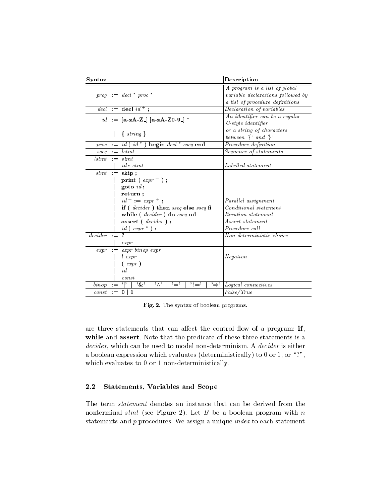| Syntax                                                |                                                                                                                                      | Description                                                        |
|-------------------------------------------------------|--------------------------------------------------------------------------------------------------------------------------------------|--------------------------------------------------------------------|
|                                                       | $\textit{prog} ::= \textit{decl} * \textit{proc} *$                                                                                  | A program is a list of global<br>variable declarations followed by |
|                                                       |                                                                                                                                      | a list of procedure definitions                                    |
|                                                       | $\text{del} :: = \text{ decl } id +$                                                                                                 | Declaration of variables                                           |
|                                                       | $id ::= [\mathbf{a} - \mathbf{z} \mathbf{A} - \mathbf{Z}] [\mathbf{a} - \mathbf{z} \mathbf{A} - \mathbf{Z} \mathbf{0} - \mathbf{9}]$ | An identifier can be a regular                                     |
|                                                       |                                                                                                                                      | $C$ -style identifier                                              |
|                                                       | $\{string\}$                                                                                                                         | or a string of characters                                          |
|                                                       |                                                                                                                                      | between $\{ \}'$ and $\{ \}'$                                      |
|                                                       | proc ::= id (id*) begin decl* sseq end                                                                                               | Procedure definition                                               |
| $\overline{\textit{sseg}} ::= \textit{lstmt}^+$       |                                                                                                                                      | Sequence of statements                                             |
| $lstmt ::= stmt$                                      |                                                                                                                                      |                                                                    |
|                                                       | $id: \, stmt$                                                                                                                        | Labelled statement                                                 |
| $stmt ::=$ skip;                                      |                                                                                                                                      |                                                                    |
|                                                       | print ( $\exp r +$ );                                                                                                                |                                                                    |
|                                                       | $\text{goto } id$ ;                                                                                                                  |                                                                    |
|                                                       | return;                                                                                                                              |                                                                    |
|                                                       | $id^+ := exp r^+;$                                                                                                                   | Parallel assignment                                                |
|                                                       | if ( $\textit{decider}$ ) then $\textit{sseq}$ else $\textit{sseq}$ fi                                                               | <i>Conditional statement</i>                                       |
|                                                       | while (decider) do sseq od                                                                                                           | <i>Iteration</i> statement                                         |
|                                                       | assert (decider);                                                                                                                    | Assert statement                                                   |
|                                                       | $id$ (expr <sup>*</sup> );                                                                                                           | Procedure call                                                     |
| $decider ::= ?$                                       |                                                                                                                                      | Non-deterministic choice                                           |
|                                                       | $\exp r$                                                                                                                             |                                                                    |
|                                                       | $expr ::= expr\ binop\ expr$                                                                                                         |                                                                    |
|                                                       | $!$ expr                                                                                                                             | Negation                                                           |
|                                                       | $(\exp r)$                                                                                                                           |                                                                    |
|                                                       | id                                                                                                                                   |                                                                    |
|                                                       | const                                                                                                                                |                                                                    |
| $\binom{binop}{ }{\cdot}$ ::= $\binom{def}{ }{\cdot}$ | $\cdot_{\&}$<br>$^{\prime}$ $\wedge^{\prime}$<br>$^{\prime}$ ! $=^{\prime}$<br>'='                                                   | $\Rightarrow$ Logical connectives                                  |
| $const ::= 0 \mid 1$                                  |                                                                                                                                      | False/True                                                         |

Fig. 2. The syntax of boolean programs.

are three statements that can affect the control flow of a program: if, while and assert. Note that the predicate of these three statements is a decider, which can be used to model non-determinism. A decider is either a boolean expression which evaluates (deterministically) to 0 or 1, or "?", which evaluates to 0 or 1 non-deterministically.

## 2.2 Statements, Variables and Scope

The term statement denotes an instance that can be derived from the nonterminal stmt (see Figure 2). Let  $B$  be a boolean program with  $n$ statements and  $p$  procedures. We assign a unique  $index$  to each statement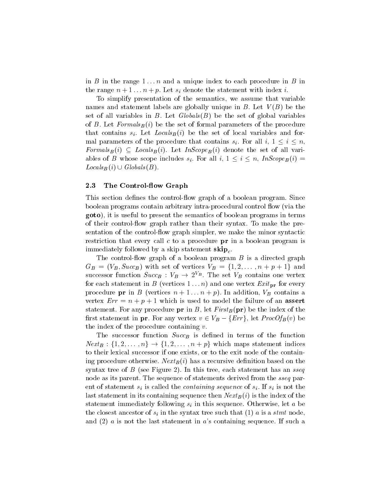in B in the range  $1 \ldots n$  and a unique index to each procedure in B in  $\sum_{i=1}^n$   $\sum_{i=1}^n$  i.e.  $\sum_{i=1}^n$   $\sum_{i=1}^n$   $\sum_{i=1}^n$  i.e.  $\sum_{i=1}^n$  i.e.  $\sum_{i=1}^n$  i.e.  $\sum_{i=1}^n$ 

To simplify presentation of the semantics, we assume that variable names and statement labels are globally unique in B. Let  $V(B)$  be the set of all variables in B. Let  $Globals(B)$  be the set of global variables of B. Let  $Formals_B(i)$  be the set of formal parameters of the procedure that contains  $s_i$ . Let  $Locals_B(i)$  be the set of local variables and formal parameters of the procedure that contains si. For all  $i, \pm, \pm, \pm, \pm, \cdots$ For all  $B$  (i)  $\equiv$  . Hence  $B$  (i). Let  $\equiv$  and set  $F$  of  $B$  (i) denote the set of all variables of <sup>B</sup> whose scope includes si. For all i, 1 <sup>i</sup> n, InScopeB (i) <sup>=</sup>  $\blacktriangle$  is an equal control  $\blacktriangleright$ .

#### 2.3 The Control-flow Graph

This section defines the control-flow graph of a boolean program. Since boolean programs contain arbitrary intra-procedural control flow (via the goto), it is useful to present the semantics of boolean programs in terms of their controlow graph rather than their syntax. To make the presentation of the control-flow graph simpler, we make the minor syntactic restriction that every call  $c$  to a procedure  $pr$  in a boolean program is immediately followed by a skip statement  $\textbf{skip}_c$ .

The control-flow graph of a boolean program  $B$  is a directed graph  $G_B = (V_B, Sacc_B)$  with set of vertices  $V_B = \{1, 2, \ldots, n + p + 1\}$  and successor function  $Succ_B$  :  $v_B \rightarrow z^{\perp_B}$ . The set  $v_B$  contains one vertex for each statement in <sup>B</sup> (vertices 1 :::n) and one vertex Exit pr for every procedure procedure (vertices n + 1 ::::) + p). In addition, VB contains and International vertex  $Err = n + p + 1$  which is used to model the failure of an assert statement. For any procedure **pr** in B, let  $First_B$  (**pr**) be the index of the rst statement in pr. For any vertex  $\sigma \in V_B$   $(\sigma, \sigma)$ , let ProcofB $(\sigma, \sigma)$ the index of the procedure containing  $v$ .

The successor function  $Succ_B$  is defined in terms of the function  $N^{\text{max}}_{\text{max}}$  :  $\{1, 2, \ldots, n\}$   $\rightarrow$   $\{1, 2, \ldots, n\}$   $\rightarrow$   $\{n\}$  which maps statement indices to their lexical successor if one exists, or to the exit node of the containing procedure otherwise.  $Next_B(i)$  has a recursive definition based on the syntax tree of  $B$  (see Figure 2). In this tree, each statement has an sseq node as its parent. The sequence of statements derived from the *sseq* parent of statement  $s_i$  is called the *containing sequence* of  $s_i$ . If  $s_i$  is not the last statement in its containing sequence then  $Next_B (i)$  is the index of the statement immediately following si in this sequence. Otherwise, let <sup>a</sup> be the closest and sinter since  $\alpha$  in the syntax tree such that  $\alpha$  in the state  $\alpha$  is a state  $\alpha$ and  $(2)$  a is not the last statement in a's containing sequence. If such a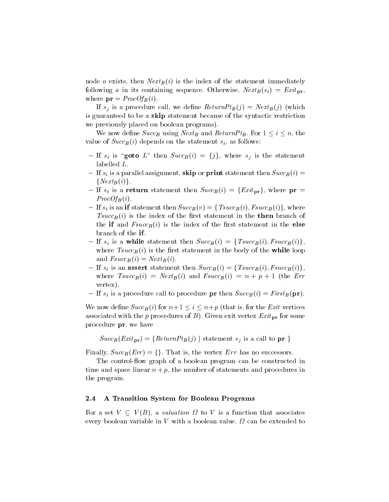node a exists, then  $Next_B (i)$  is the index of the statement immediately following a in its containing sequence. Otherwise,  $Next_B(s_i) = Ext_{\text{pr}}$ , where  $\mathbf{pr} = ProcOf_B(i)$ .

If sj is a procedure called we define Return  $D(\{j\})$  . The signal (j) (which called  $D(\{j\})$ is guaranteed to be a skip statement because of the syntactic restriction we previously placed on boolean programs).

We now define  $\sim$  we have  $\beta$  is the  $\beta$  using Return bin  $\beta$  . For  $1 \equiv 1 \equiv 1 \pmod{2}$ value of  $Succ_B (i)$  depends on the statement  $s_i$ , as follows:

- ${\bf s}$  is  ${\bf s}$  is  ${\bf s}$  is the statement success. labelled L.
- ${\bf I}$  is a parallel assignment, since  ${\bf I}$  or primers then statement then  ${\bf I}$  (i)  ${\bf I}$  $\{Next_B(i)\}.$
- ${\bf x}$  is a return statement then SuccB (i) = feating present present products where  ${\bf x}$  $ProcOf_B(i)$ .
- ${\bf 1}$  is an if statement then SuccB (v) = for  ${\bf 1}$  (v),  ${\bf 1}$ , where  $Tsucc_B(i)$  is the index of the first statement in the **then** branch of the if and  $Fsucc_B(i)$  is the index of the first statement in the else branch of the if .
- ${\bf I} = -{\bf i}$  is a while statement then SuccB (i)  ${\bf I} = -{\bf i}$  (i)  ${\bf B}$  (i)  ${\bf i}$  (i)g, for where  $Tsucc_B(i)$  is the first statement in the body of the while loop and  $Fsucc_B (i) = Next_B (i)$ .
- $\mathcal{L} = \mathcal{L} \left( \begin{array}{ccc} 1 & \text{if } 1 \leq i \leq n-1 \end{array} \right)$ where  $Tsucc_B(i) = Next_B(i)$  and  $Fsucc_B(i) = n + p + 1$  (the Err vertex).
- ${\bf P} = {\bf P}$  is a procedure called to procedure procedure succeB (i)  ${\bf P} = {\bf P}$ .

which is now defined by  $\omega$  is  $\mu$  (ii) for the  $\mu$  interprettion is for the  $\mu$  vertices  $\mu$ associated with the p procedures of B). Given exit vertex  $\mathbf{H}$  and  $\mathbf{H}$ procedure pr, we have

$$
Succ_B(Exit_{\text{pr}}) = \{ReturnPt_B(j) \mid statement s_i \text{ is a call to } \text{pr} \}
$$

Finally,  $Succ_B (Err) = \{\}$ . That is, the vertex  $Err$  has no successors.

The control-flow graph of a boolean program can be constructed in time and space linear  $n + p$ , the number of statements and procedures in the program.

## 2.4 A Transition System for Boolean Programs

 $\mathcal{F}$  is a set  $\mathcal{F}$  is a substitution to value that associates that associates that associates that associates that associates the set of  $\mathcal{F}$ every boolean variable in <sup>V</sup> with a boolean value. can be extended to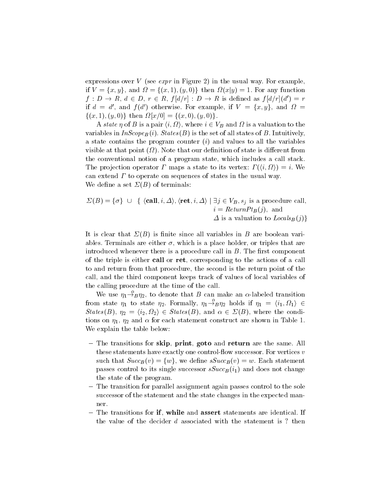expressions over V (see  $\exp r$  in Figure 2) in the usual way. For example, if <sup>V</sup> = fx; yg, and = f(x; 1); (y; 0)g then (xjy) = 1. For any function  $f: D \to R$ ,  $a \in D$ ,  $r \in R$ ,  $f |a/r| : D \to R$  is defined as  $f |a/r| (a) = r$ if  $a = a$ , and  $f(a)$  otherwise. For example, if  $V = \{x, y\}$ , and  $\Omega =$ f(x; 1); (y; 0)g then [x=0] = f(x; 0); (y; 0)g:

A state  $\eta$  of D is a pair  $\langle v, 32 \rangle$ , where  $v \in V_B$  and  $32$  is a valuation to the variables in  $InScope_B (i)$ . States (B) is the set of all states of B. Intuitively, a state contains the program counter  $(i)$  and values to all the variables visible at that point ( ). Note that our denition of state is dierent from the conventional notion of a program state, which includes a call stack. The projection operator  $T$  maps a state to its vertex.  $T(\ell, 32) = \ell$ . We can extend  $\Gamma$  to operate on sequences of states in the usual way. We define a set  $\Sigma(B)$  of terminals:

$$
\Sigma(B) = \{\sigma\} \cup \{ \langle \text{call}, i, \Delta \rangle, \langle \text{ret}, i, \Delta \rangle \mid \exists j \in V_B, s_j \text{ is a procedure call,}
$$
  
\n
$$
i = ReturnPt_B(j), \text{ and}
$$
  
\n
$$
\Delta \text{ is a valuation to } Locals_B(j) \}
$$

It is clear that  $\Sigma(B)$  is finite since all variables in B are boolean variables. Terminals are either  $\sigma$ , which is a place holder, or triples that are introduced whenever there is a procedure call in  $B$ . The first component of the triple is either call or ret, corresponding to the actions of a call to and return from that procedure, the second is the return point of the call, and the third component keeps track of values of local variables of the calling procedure at the time of the call.

We use  $\eta_1 \stackrel{\alpha}{\rightarrow} \eta_2$ , to denote that B can make an  $\alpha$ -labeled transition from state  $\eta_1$  to state  $\eta_2$ . Formally,  $\eta_1 \rightarrow_B \eta_2$  holds if  $\eta_1 = \langle i_1, \Omega_1 \rangle \in$  $Sutes(D), \eta_2 = \langle q_2, q_2 \rangle \in Sutes(D), \text{ and } \alpha \in \mathcal{Z}(D), \text{ where the condition }$ tions on  $\eta_1$ ,  $\eta_2$  and  $\alpha$  for each statement construct are shown in Table 1. We explain the table below:

- The transitions for skip, print, goto and return are the same. All these statements have exactly one control-flow successor. For vertices  $v$ such that  $Succ_B (v) = \{w\}$ , we define  $sSucc_B (v) = w$ . Each statement passes control to its single successor  $sSucc_B (i_1)$  and does not change the state of the program.
- The transition for parallel assignment again passes control to the sole successor of the statement and the state changes in the expected manner.
- The transitions for if, while and assert statements are identical. If the value of the decider  $d$  associated with the statement is ? then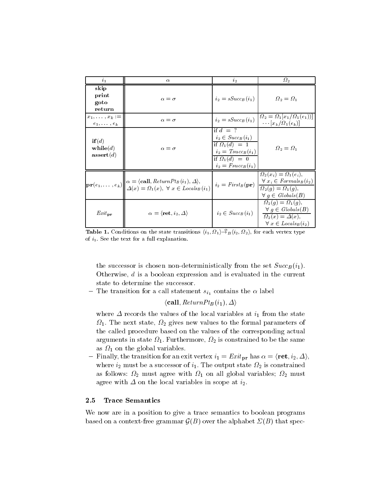| $\mathbf{i}_1$                                       | $\alpha$                                                                                                                                                                                                                                      | $i_{2}$                                                                                                                                    | $\Omega_2$                                                                                                                         |
|------------------------------------------------------|-----------------------------------------------------------------------------------------------------------------------------------------------------------------------------------------------------------------------------------------------|--------------------------------------------------------------------------------------------------------------------------------------------|------------------------------------------------------------------------------------------------------------------------------------|
| skip<br>print<br>goto<br>return                      | $\alpha = \sigma$                                                                                                                                                                                                                             | $i_2 = sSucc_B(i_1)$                                                                                                                       | $\Omega_2 = \Omega_1$                                                                                                              |
| $x_1, \ldots, x_k :=$<br>$e_1, \ldots, e_k$          | $\alpha = \sigma$                                                                                                                                                                                                                             | $i_2 = sSucc_B(i_1)$                                                                                                                       | $\Omega_2 = \Omega_1[x_1/\Omega_1(e_1))]$<br>$\cdots$ $\left[x_k/\Omega_1(e_k)\right]$                                             |
| if(d)<br>$\mathbf{while}(d)$<br>$\mathbf{assert}(d)$ | $\alpha = \sigma$                                                                                                                                                                                                                             | if $d = ?$<br>$i_2 \in Succ_B(i_1)$<br>if $\Omega_1(d) = 1$<br>$i_2 = Tsucc_B(i_1)$<br>if $\Omega_1(d) = 0$<br>$i_2 = \text{Fsucc}_B(i_1)$ | $\Omega_2 = \Omega_1$                                                                                                              |
|                                                      | $\left \mathbf{pr}(e_1,\ldots,e_k)\right \begin{cases} \alpha = \langle \mathbf{call}, ReturnPt_B(i_1), \Delta \rangle, \\ \Delta(x) = \Omega_1(x), \ \forall \ x \in \mathit{Locals}_B(i_1) \end{cases} i_2 = \mathit{First}_B(\mathbf{pr})$ |                                                                                                                                            | $\Omega_2(x_i) = \Omega_1(e_i),$<br>$\forall x_i \in Formals_B(i_2)$<br>$\Omega_2(q) = \Omega_1(q),$<br>$\forall q \in Globals(B)$ |
| $Exit_{\textbf{pr}}$                                 | $\alpha = \langle \textbf{ret}, i_2, \Delta \rangle$                                                                                                                                                                                          | $i_2 \in Succ_B(i_1)$                                                                                                                      | $\Omega_2(q) = \Omega_1(q),$<br>$\forall q \in Globals(B)$<br>$\Omega_2(x) = \Delta(x),$<br>$\forall x \in \text{Locals}_B(i_2)$   |

Table 1. Conditions on the state transitions  $\langle i_1, \Omega_1 \rangle \rightarrow_B \langle i_2, \Omega_2 \rangle$ , for each vertex type of  $i_1$ . See the text for a full explanation.

the successor is chosen non-deterministically from the set  $Succ_B (i_1)$ . Otherwise, <sup>d</sup> is a boolean expression and is evaluated in the current state to determine the successor.

- The transition for a call statement  $s_{i_1}$  contains the  $\alpha$  label

 $\langle \textbf{call}, \textit{ReturnPt}_B(i_1), \Delta \rangle$ 

where  $\Delta$  records the values of the local variables at  $i_1$  from the state 1. The next state, <sup>2</sup> gives new values to the formal parameters of the called procedure based on the values of the corresponding actual  $\alpha$ rguments in state  $\mathbf{F}_1$ , is arbitrarmore, i.e. constrained to be the same as <sup>1</sup> on the global variables.

 ${\bf -}$  Finally, the transition for an exit vertex  $i_1 = Ext_{{\bf pr}}$  has  $\alpha = \langle {\bf ret}, i_2, \Delta \rangle$ , where i2 month be a successor of i1. The output state  $\Delta$  is constrained in  $\Delta$ as follows: If  $\Delta$  for any superior with the correct complete with the following  $\Delta$  for any superior  $\Delta$ agree with  $\Delta$  on the local variables in scope at  $i_2$ .

## 2.5 Trace Semantics

We now are in a position to give a trace semantics to boolean programs based on a context-free grammar  $\sigma$  (B) over the alphabet (B)  $\sigma$  that spec-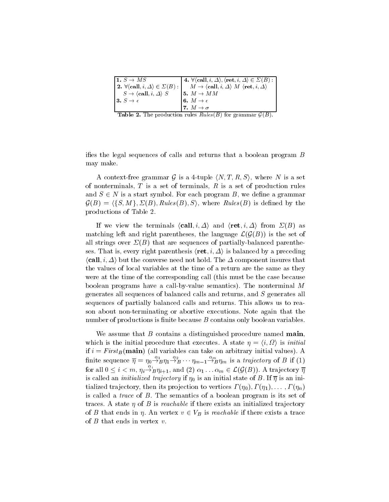| 1. $S \rightarrow MS$                                   | 4. $\forall \langle \mathbf{call}, i, \Delta \rangle, \langle \mathbf{ret}, i, \Delta \rangle \in \Sigma(B) :$ |
|---------------------------------------------------------|----------------------------------------------------------------------------------------------------------------|
| 2. $\forall$ (call, $i, \Delta \rangle \in \Sigma(B)$ : | $M \to \langle \text{call}, i, \Delta \rangle$ M $\langle \text{ret}, i, \Delta \rangle$                       |
| $S \to \langle \mathbf{call}, i, \Delta \rangle S$      | 15. $M \to MM$                                                                                                 |
| 13. $S \rightarrow \epsilon$                            | $\vert \mathbf{6}. \; M \rightarrow \epsilon \vert$                                                            |
|                                                         | 7. $M \rightarrow \sigma$                                                                                      |

Table 2. The production rules Rules  $(2, 1)$  for grammar  $\mathcal{S}(E)$ .

ifies the legal sequences of calls and returns that a boolean program  $B$ may make.

A context-free grammar  $g$  is a  $+\sup$ <sub>r</sub>  $\langle N, I, R, D \rangle$ , where N is a set of nonterminals,  $T$  is a set of terminals,  $R$  is a set of production rules and  $z \in \mathbb{R}$ . It a start symbol. For each program  $\mathbb{R}$ , we define a grammar  $\mathcal{G}(B) = \langle \{S, M\}, \Sigma(B), \mathit{Rules}(B), S \rangle$ , where  $Rules(B)$  is defined by the productions of Table 2.

If we view the terminals  $\langle \textbf{call}, i, \Delta \rangle$  and  $\langle \textbf{ret}, i, \Delta \rangle$  from  $\Sigma(B)$  as matching left and right parentheses, the language  $\mathcal{L}(\mathcal{G}(B))$  is the set of all strings over  $\Sigma(B)$  that are sequences of partially-balanced parentheses. That is, every right parenthesis  $\langle \text{ret}, i, \Delta \rangle$  is balanced by a preceding  $\langle \text{call}, i, \Delta \rangle$  but the converse need not hold. The  $\Delta$  component insures that the values of local variables at the time of a return are the same as they were at the time of the corresponding call (this must be the case because boolean programs have a call-by-value semantics). The nonterminal <sup>M</sup> generates all sequences of balanced calls and returns, and <sup>S</sup> generates all sequences of partially balanced calls and returns. This allows us to reason about non-terminating or abortive executions. Note again that the number of productions is finite because  $B$  contains only boolean variables.

We assume that  $B$  contains a distinguished procedure named main, which is the initial procedure that executes. A state  $\eta = \langle v, v^2 \rangle$  is *initial* if  $i = First_B(\text{main})$  (all variables can take on arbitrary initial values). A finite sequence  $\overline{\eta} = \eta_0 \rightarrow_B^2 \eta_1 \rightarrow_B^2 \cdots \eta_{m-1} \rightarrow_B^2 \eta_m$  is a *trajectory* of B if (1) for all  $0 \leq i < m$ ,  $\eta_i \stackrel{\alpha_i}{\rightarrow} \eta_{i+1}$ , and (2)  $\alpha_1 \ldots \alpha_m \in \mathcal{L}(\mathcal{G}(B))$ . A trajectory  $\overline{\eta}$ for all  $0 \le i < m$ ,  $\eta_i \rightarrow_B^s \eta_{i+1}$ , and (2)  $\alpha_1 \dots \alpha_m \in \mathcal{L}(\mathcal{G}(B))$ . A trajectory  $\overline{\eta}$  is called an *initialized trajectory* if  $\eta_0$  is an initial state of B. If  $\overline{\eta}$  is an initialized trajectory, then its projection to vertices  $\Gamma(\eta_0), \Gamma(\eta_1), \ldots, \Gamma(\eta_n)$ is called a trace of B. The semantics of a boolean program is its set of traces. A state  $\eta$  of B is reachable if there exists an initialized trajectory of B that ends in . An vertex v 2 vB is reached if the state  $\sim$  there exists a trace exists a trace of of  $B$  that ends in vertex  $v$ .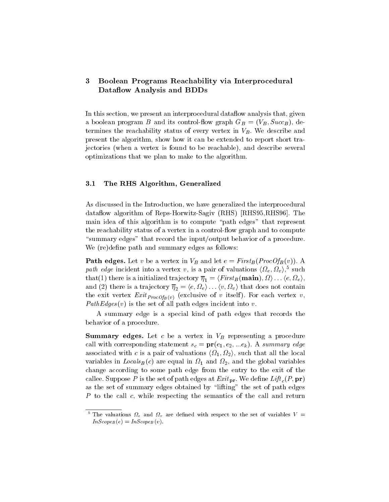## 3 Boolean Programs Reachability via Interprocedural Dataflow Analysis and BDDs

In this section, we present an interprocedural data flow analysis that, given a boolean program B and its control-to control  $\alpha$  and  $\alpha$ ;  $\alpha$ ; successively; successively; successively; termines the reachability status of every vertex in  $V_B$ . We describe and present the algorithm, show how it can be extended to report short trajectories (when a vertex is found to be reachable), and describe several optimizations that we plan to make to the algorithm.

#### 3.1 The RHS Algorithm, Generalized

As discussed in the Introduction, we have generalized the interprocedural dataflow algorithm of Reps-Horwitz-Sagiv (RHS) [RHS95, RHS96]. The main idea of this algorithm is to compute \path edges" that represent the reachability status of a vertex in a control-flow graph and to compute "summary edges" that record the input/output behavior of a procedure. We (re)define path and summary edges as follows:

 $\blacksquare$  and  $\blacksquare$  edges. Let v be a vertex in VB and let  $\blacksquare$  . And  $\blacksquare$ path edge incluent into a vertex v, is a pair of valuations  $\langle \Omega_e, \Omega_v \rangle$ , such  $t$ hat $(1)$  there is a initialized trajectory  $\eta_1 = \langle \Gamma \nu s \nu_B \rangle$  (main),  $s \nu_1 \ldots \langle e, s \nu_e \rangle$ , and (2) there is a trajectory  $\eta_2 = \langle e, s e \rangle \dots \langle e, s e \rangle$  that does not contain the exit vertex  $\equiv$   $\cdots$   $\Gamma$   $v$   $\sigma$   $\cup$   $B$  (v) (exclusive of v itself ). For each vertex v, PathEdges (v) is the set of all path edges incident into v.

A summary edge is a special kind of path edges that records the behavior of a procedure.

 $\mathbb{R}^n$  summaring a vertex in  $\mathbb{R}^n$  representing a procedure and  $\mathbb{R}^n$  representing a procedure and  $\mathbb{R}^n$ call with corresponding statement  $s_c = \mathbf{\mu}(\epsilon_1, \epsilon_2, ... \epsilon_k)$ . A summary edge associated with c is a pair or valuations  $\{12, 12/$ , such that all the local variables in LocalsB (e) are equal in Local in Local in  $\alpha$  and  $\alpha$  in  $\alpha$ change according to some path edge from the entry to the exit of the callee. Suppose P is the set of path edges at Exit pr. We define Eq. (P; )  $\mathbf{P}$ as the set of summary edges obtained by \lifting" the set of path edges P to the call c, while respecting the semantics of the call and return

The valuations  $\nu_e$  and  $\nu_u$  are defined with respect to the set of variables  $V$  =  $InScopeB (e) = InScopeB (v).$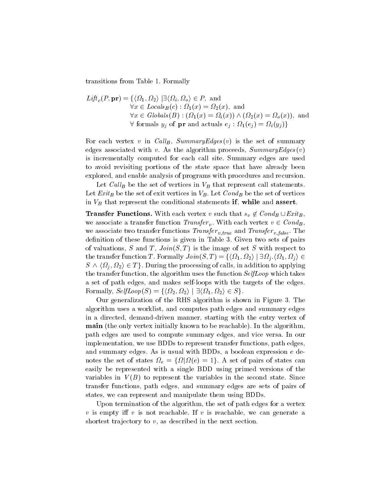transitions from Table 1. Formally

$$
Lift_c(P, \mathbf{pr}) = \{ \langle \Omega_1, \Omega_2 \rangle \mid \exists \langle \Omega_i, \Omega_o \rangle \in P, \text{ and}
$$
  
\n
$$
\forall x \in \text{Locals}_B(c) : \Omega_1(x) = \Omega_2(x), \text{ and}
$$
  
\n
$$
\forall x \in \text{Globals}(B) : (\Omega_1(x) = \Omega_i(x)) \wedge (\Omega_2(x) = \Omega_o(x)), \text{ and}
$$
  
\n
$$
\forall \text{formals } y_j \text{ of } \mathbf{pr} \text{ and actuals } e_j : \Omega_1(e_j) = \Omega_i(y_j) \}
$$

For each vertex v in Call<sub>B</sub>, SummaryEdges(v) is the set of summary edges associated with v. As the algorithm proceeds,  $SummaryEdges(v)$ is incrementally computed for each call site. Summary edges are used to avoid revisiting portions of the state space that have already been explored, and enable analysis of programs with procedures and recursion.

Let Call<sub>B</sub> be the set of vertices in  $V_B$  that represent call statements. Let  $Exit_B$  be the set of exit vertices in  $V_B$ . Let  $Cond_B$  be the set of vertices in VB that represent that the conditions if  $\alpha$ 

Transfer Functions. With each vertex <sup>v</sup> such that sv we associate a transfer function  $Transfer_v$ . With each vertex  $v \in Cond_B$ , we associate two transfers functions  $\mathcal{I}$  and  $\mathcal{I}$  v;  $\mathcal{I}$  are  $\mathcal{I}$  . The  $\mathcal{I}$  v;  $\mathcal{I}$  and  $\mathcal{I}$  are  $\mathcal{I}$  and  $\mathcal{I}$  are  $\mathcal{I}$  and  $\mathcal{I}$  are  $\mathcal{I}$  and  $\mathcal{I}$  are  $\mathcal{I}$  and  $\$ definition of these functions is given in Table 3. Given two sets of pairs of valuations, S and T,  $Join(S,T)$  is the image of set S with respect to The transfer function T . Formally  $J \circ h \circ (\beta, T) = \frac{1}{2} \left( \frac{3}{2} \right) \left( \frac{3}{2} \right) \left( \frac{3}{2} \right) \left( \frac{3}{2} \right) \left( \frac{3}{2} \right)$  $S \wedge \langle \Omega_j, \Omega_2 \rangle \in T$ . During the processing of calls, in addition to applying the transfer function, the algorithm uses the function  $SelfLoop$  which takes a set of path edges, and makes self-loops with the targets of the edges. Formally,  $\mathcal{S}eij\mathcal{L}o\mathcal{L}(\mathcal{S}) = \int \frac{3}{2}, \frac{3}{2}i$   $\int$   $\int$   $\frac{1}{2}i$ ,  $\frac{3}{2}i$ ,  $\frac{3}{2}i$   $\in$   $\mathcal{S}$  f.

 $2\pi$  generalization of the RHS algorithm is shown in Figure 3. The algorithm uses a worklist, and computes path edges and summary edges in a directed, demand-driven manner, starting with the entry vertex of main (the only vertex initially known to be reachable). In the algorithm, path edges are used to compute summary edges, and vice versa. In our implementation, we use BDDs to represent transfer functions, path edges, and summary edges. As is usual with BDDs, a boolean expression <sup>e</sup> de- $\frac{1}{2}$  . The set of states  $\frac{1}{2}$  states of  $\frac{1}{2}$  states can be set of  $\frac{1}{2}$  such that  $\frac{1}{2}$ easily be represented with a single BDD using primed versions of the variables in  $V(B)$  to represent the variables in the second state. Since transfer functions, path edges, and summary edges are sets of pairs of states, we can represent and manipulate them using BDDs.

Upon termination of the algorithm, the set of path edges for a vertex v is empty in the case of the canonical decomposition in the case of the case of the generate and the case of shortest trajectory to  $v$ , as described in the next section.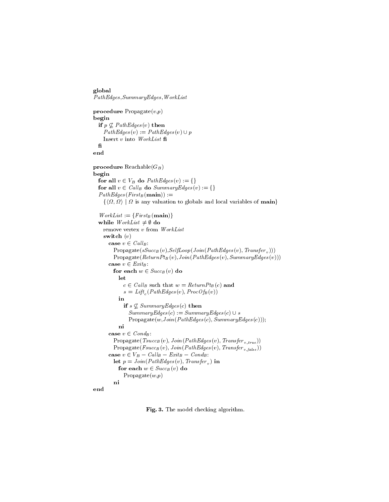```
global
Path Edges, Summary Edges, WorkList% \begin{equation} \left[ \begin{array}{cc} \text{#C} & \text{#C} \\ \text{#C} & \text{#C} \end{array} \right] & \text{#C} \end{equation} \right] \begin{equation} \left[ \begin{array}{cc} \text{#C} & \text{#C} \\ \text{#C} & \text{#C} \end{array} \right] & \text{#C} \end{equation} \begin{equation} \left[ \begin{array}{cc} \text{#C} & \text{#C} \\ \text{#C} & \text{#C} \end{array} \right] & \text{#C} \end{equation} \begin{equation} \left[ \begin{arrayprocedure Propagate(v,p)begin
    if p \geq 1 and \log \log(v) then
        P at the end of p is pathent in P and P and P is pathent in P is pathent in PInsertv into \mathit{WorkList} fi
   \mathbf{f}end
procedure Reachable(G_B)
begin
    for all v \alpha \alpha \beta and \alpha is equal to path \alpha is the path \alphafor all v \in \mathcal{C} and \mathcal{D} are summary \mathcal{D} and \mathcal{D} is \mathcal{D}PathEdges(First_B({\bf main})) :=WorkList := {First_B(main)}f(x) is any value to global value of main variables of main variables of maintenance f(x)while WorkList \neq \emptyset do
       remove vertex v from WorkList
       switch (v)\epsilon \epsilon \epsilon \omega_{\mu\nu}.
               P = Propagate(sSuccB (v),SelfLoop(Solit(PathLLoop(s)(v); Transfer v \mid y))
              Propagate(ReturnPt_B(v),Join(PathEdges(v),SummaryEdges(v)))\cdots \in \equiv \cdots \cdotsfor each \alpha \in success (v) does
                 let
                      \epsilon 2 Call such that we such that \epsilon is \epsilon (c) and \epsilons and \mathcal{L} can be expected to \mathcal{L} . The coronal process of \mathcal{L}in
                      \mathbf{r} s \mathbf{r} is anonour given by \mathbf{r} then the number
                         S university S = S is summary S = S is S = S . Summary S = S is summary S = S is summary S = S is a summary S = S is the summary S = S is the summary S = S is the summary S = S is the summary S = S is the summary S = S 
                         Propagate(w,Join(PathEdges(c),SummaryEdges(c)));
                 ni \cdots \cdots \cdots \cdots \cdots \cdotsP = Propagate\{T, T\}; P (v); P is used (v); Transfer v; P , P , P , P , P , P , P , P , P , P , P , P , P , P , P , P , P , P , P , P , P , P , P , P , P , P , PP = Propagate\{F \mid \{v\} \} , P is unit, P and P and P if \{v\} , T also ))
           case v 2 VB  Cal lB  ExitB  CondB : \mathbf{P} = \mathbf{P} \mathbf{Q} \mathbf{u} \mathbf{v} is a set of \mathbf{Q} \mathbf{u} \mathbf{v} in ) in the set of \mathbf{v} \mathbf{v}for each \alpha \alpha success (v) does
                     Propagate(w,p)ni
end
```
Fig. 3. The model checking algorithm.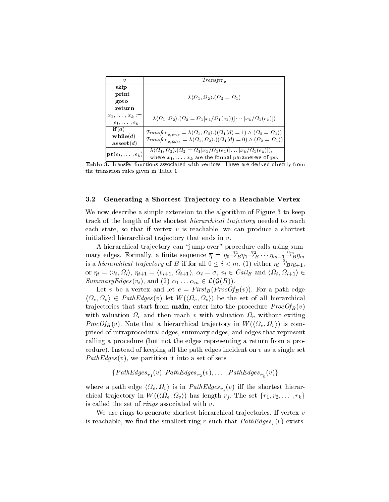| $\boldsymbol{v}$                                     | Transfer <sub>n</sub>                                                                                                                                                                                                                                        |  |
|------------------------------------------------------|--------------------------------------------------------------------------------------------------------------------------------------------------------------------------------------------------------------------------------------------------------------|--|
| skip<br>print<br>goto<br>return                      | $\lambda \langle \Omega_1, \Omega_2 \rangle . (\Omega_2 = \Omega_1)$                                                                                                                                                                                         |  |
| $x_1, \ldots, x_k :=$<br>$e_1, \ldots, e_k$          | $\lambda \langle \Omega_1, \Omega_2 \rangle \langle \Omega_2 = \Omega_1[x_1/\Omega_1(e_1))] \cdots [x_k/\Omega_1(e_k)]$                                                                                                                                      |  |
| if(d)<br>$\mathbf{while}(d)$<br>$\mathbf{assert}(d)$ | $Transfer_{v,true} = \lambda \langle \Omega_1, \Omega_2 \rangle \cdot ((\Omega_1(d) = 1) \wedge (\Omega_2 = \Omega_1))$<br>Transfer <sub>v.false</sub> = $\lambda \langle \Omega_1, \Omega_2 \rangle \cdot ((\Omega_1(d) = 0) \wedge (\Omega_2 = \Omega_1))$ |  |
| $ \mathbf{pr}(e_1,\ldots,e_k) $                      | $\lambda \langle \Omega_1, \Omega_2 \rangle \cdot (\Omega_2 = \Omega_1[x_1/\Omega_1(e_1)] \dots [x_k/\Omega_1(e_k)]),$<br>where $x_1, \ldots, x_k$ are the formal parameters of pr.                                                                          |  |

Table 3. Transfer functions associated with vertices. These are derived directly from the transition rules given in Table 1

#### 3.2 Generating a Shortest Tra jectory to a Reachable Vertex

We now describe a simple extension to the algorithm of Figure 3 to keep track of the length of the shortest *hierarchical trajectory* needed to reach each state, so that if vertex  $v$  is reachable, we can produce a shortest initialized hierarchical trajectory that ends in  $v$ .

A hierarchical trajectory can "jump over" procedure calls using summary edges. Formally, a finite sequence  $\overline{\eta} = \eta_0 \overline{\rightarrow} B \eta_1 \overline{\rightarrow} B \cdots \eta_{m-1} \overline{\rightarrow} B \eta_m$ is a hierarchical trajectory of B if for all  $0 \leq i < m$ , (1) either  $\eta_i \rightarrow_B^{\epsilon} \eta_{i+1}$ , or  $\eta_i = \langle v_i, s_i \rangle$ ,  $\eta_{i+1} = \langle v_{i+1}, s_i + 1 \rangle$ ,  $\alpha_i = 0, v_i \in \text{CMB}$  and  $\langle s_i, s_i + 1 \rangle \subset$  $i+1i =$ SummaryEdges(v<sub>i</sub>), and (2)  $\alpha_1 \ldots \alpha_m \in \mathcal{L}(\mathcal{G}(B)).$ 

Let v be a vertex and let  $e = First_B(ProcOf_B(v))$ . For a path edge  $\langle \Omega e, \Omega v \rangle \subset I$  uniques  $\langle v \rangle$  let W  $\langle \langle \Omega e, \Omega v \rangle$  be the set of all hierarchical trajectories that start from **main**, enter into the procedure  $ProcOf_B(v)$ with valuation  $\mathbf{r}_0$  and then reach  $\mathbf{v}$  with valuation  $\mathbf{r}_0$  without at exiting *FrocOfB*(*v*). Note that a merarchical trajectory in W ( $\langle v_2e, v_2v_1 \rangle$  is comprised of intraprocedural edges, summary edges, and edges that represent calling a procedure (but not the edges representing a return from a procedure). Instead of keeping all the path edges incident on  $v$  as a single set PathEdges (v), we partition it into a set of sets

for  $f_1$  (v); PathEdges r<sub>2</sub> (v);:::: ; PathEdges r<sub>2</sub> (v);

where a path edge  $\langle \Omega e, \Omega v \rangle$  is in PathEdges  $r_i$  (v) in the shortest fierarchical trajectory in W  $((32e, 32v))$  has length  $r_j$ . The set  $\{r_1, r_2, \ldots, r_k\}$ is called the set of *rings* associated with  $v$ .

We use rings to generate shortest hierarchical trajectories. If vertex  $v$ is reachable, we many the smallest ring r such that PathEdges  $\mu$  (v) exists.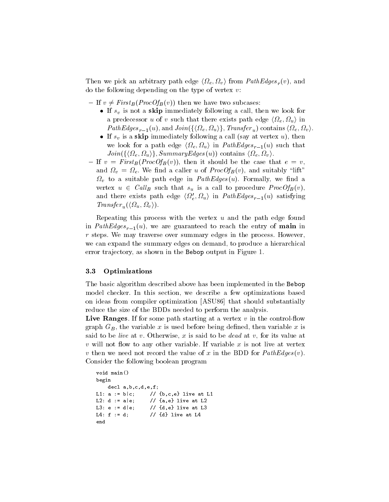Then we pick an arbitrary path edge  $\langle s_2 e, s_2 v \rangle$  from *PathEdges*  $_r(v)$ , and do the following depending on the type of vertex  $v$ :

 ${\rm I}$  If  $v \neq First_B (ProcOf_B(v))$  then we have two subcases:

- If  $s_v$  is not a skip immediately following a call, then we look for a predecessor  $u$  or  $v$  such that there exists path edge  $\sqrt{se}$ ,  $\sqrt{se}$ ,  $\sqrt{u}$ *I* am Euges  $r_{-1}(u)$ , and Join( $\chi$ ) se,  $\frac{2u}{f}$ , *I* ransfer u) contains  $\chi$  see,  $\frac{2v}{f}$ .
- If  $s_v$  is a skip immediately following a call (say at vertex u), then we look for a path edge  $\{se, se_y\}$  in Tumbuyes  $r=1(u)$  such that  $J$ o $in$ (f $\rho$ )  $\{s_2e, s_2u/f, S$ ummurg $L$ uges $(u)$ ) contains  $\langle s_2e, s_2v/f \rangle$ .
- ${\rm I}$  If  $v = First_B(ProcOf_B(v))$ , then it should be the case that  $e = v$ , where  $\alpha$  is the contraction of  $\alpha$  and suitably  $\alpha$  and  $\beta$   $\beta$  (v), and such suitably  $\alpha$  and suitably  $\alpha$ where  $\alpha$  is a suitable path edge in Path equivalently, we have a suitable  $\alpha$ vertex  $u \in \text{Cone}$  such that  $s_u$  is a call to procedure *ProcOfB* $(v)$ , and there exists path edge  $\langle \Omega_e, \Omega_u \rangle$  in  $PathEdges_{r-1}(u)$  satisfying  $I$ runsjer $u(\lambda^2 u, \lambda^2 v)$ .

Repeating this process with the vertex  $u$  and the path edge found in PathEdges  $r=1$  (u), we are guaranteed to reach the entry  $j$  of mainles in r steps. We may traverse over summary edges in the process. However, we can expand the summary edges on demand, to produce a hierarchical error trajectory, as shown in the Bebop output in Figure 1.

## 3.3 Optimizations

The basic algorithm described above has been implemented in the Bebop model checker. In this section, we describe a few optimizations based on ideas from compiler optimization [ASU86] that should substantially reduce the size of the BDDs needed to perform the analysis.

Live Ranges. If for some path starting at a vertex  $v$  in the control-flow graph  $G_B$ , the variable x is used before being defined, then variable x is said to be *live* at v. Otherwise, x is said to be *dead* at v, for its value at v will not ow to any other variable. If variable <sup>x</sup> is not live at vertex v then we need not record the value of <sup>x</sup> in the BDD for PathEdges (v). Consider the following boolean program

```
void main()
begin
   decl a,b,c,d,e,f;
L1: a := b|c; // {b, c, e} live at L1
L2: d := a|e; // {a,e} live at L2
L3: e := d|e; // {d,e} live at L3
L4: f := d; // {d} live at L4
end
```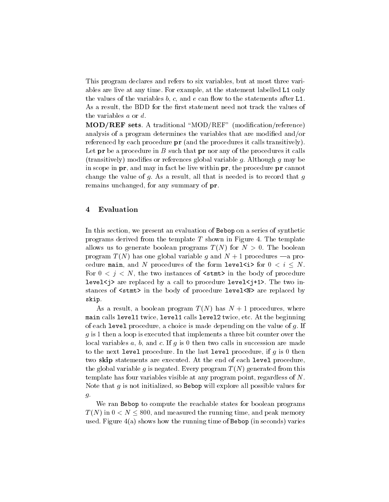This program declares and refers to six variables, but at most three variables are live at any time. For example, at the statement labelled L1 only the values of the variables  $b, c,$  and  $e$  can flow to the statements after L1. As a result, the BDD for the first statement need not track the values of the variables <sup>a</sup> or d.

MOD/REF sets. A traditional "MOD/REF" (modification/reference) analysis of a program determines the variables that are modified and/or referenced by each procedure **pr** (and the procedures it calls transitively). Let  ${\bf pr}$  be a procedure in B such that  ${\bf pr}$  nor any of the procedures it calls (transitively) modifies or references global variable g. Although g may be in scope in **pr**, and may in fact be live within **pr**, the procedure **pr** cannot change the value of  $g$ . As a result, all that is needed is to record that  $g$ remains unchanged, for any summary of pr.

## 4 Evaluation

In this section, we present an evaluation of Bebop on a series of synthetic programs derived from the template  $T$  shown in Figure 4. The template allows us to generate boolean programs  $T(N)$  for  $N > 0$ . The boolean program  $T(N)$  has one global variable g and  $N + 1$  procedures  $\rightarrow$  a procedure main, and N procedures of the form level for  $\sim$  in  $\geq$   $\sim$   $\sim$ For  $0 \lt j \lt N$ , the two instances of  $\text{stmt}$  in the body of procedure level<j> are replaced by a call to procedure level<j+1>. The two instances of <stmt> in the body of procedure level<N> are replaced by skip.

As a result, a boolean program  $T(N)$  has  $N+1$  procedures, where main calls level1 twice, level1 calls level2 twice, etc. At the beginning of each level procedure, a choice is made depending on the value of g. If g is 1 then a loop is the loop is the three bit counter a three bit counter over the bit counter over the count local variables  $a, b$ , and  $c.$  If  $g$  is 0 then two calls in succession are made to the next level procedure. In the last level procedure, if  $g$  is 0 then two skip statements are executed. At the end of each level procedure, the global variable g is negated. Every program  $T(N)$  generated from this template has four variables visible at any program point, regardless of N. Note that  $g$  is not initialized, so **Bebop** will explore all possible values for  $g$ .

We ran Bebop to compute the reachable states for boolean programs  $T$  (N) in  $0 \le N \le 800$ , and measured the running time, and peak memory used. Figure  $4(a)$  shows how the running time of Bebop (in seconds) varies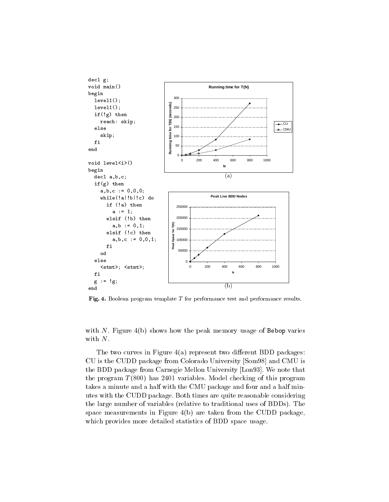

Fig. 4. Boolean program template <sup>T</sup> for performance test and performance results.

with N. Figure  $4(b)$  shows how the peak memory usage of Bebop varies with N.

The two curves in Figure  $4(a)$  represent two different BDD packages: CU is the CUDD package from Colorado University [Som98] and CMU is the BDD package from Carnegie Mellon University [Lon93]. We note that the program  $T(800)$  has 2401 variables. Model checking of this program takes a minute and a half with the CMU package and four and a half minutes with the CUDD package. Both times are quite reasonable considering the large number of variables (relative to traditional uses of BDDs). The space measurements in Figure 4(b) are taken from the CUDD package, which provides more detailed statistics of BDD space usage.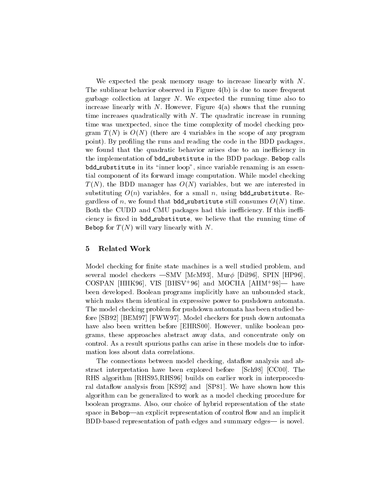We expected the peak memory usage to increase linearly with N. The sublinear behavior observed in Figure 4(b) is due to more frequent garbage collection at larger  $N$ . We expected the running time also to increase linearly with N. However, Figure  $4(a)$  shows that the running time increases quadratically with  $N$ . The quadratic increase in running time was unexpected, since the time complexity of model checking program  $T(N)$  is  $O(N)$  (there are 4 variables in the scope of any program point). By profiling the runs and reading the code in the BDD packages, we found that the quadratic behavior arises due to an inefficiency in the implementation of bdd\_substitute in the BDD package. Bebop calls bdd substitute in its "inner loop", since variable renaming is an essential component of its forward image computation. While model checking T (N), the BDD manager has O(N) variables, but we are interested in substituting  $O(n)$  variables, for a small n, using bdd substitute. Regardless of n, we found that bdd\_substitute still consumes  $O(N)$  time. Both the CUDD and CMU packages had this inefficiency. If this inefficiency is fixed in bdd\_substitute, we believe that the running time of Bebop for  $T(N)$  will vary linearly with N.

#### 5 5 Related Work

Model checking for finite state machines is a well studied problem, and several model checkers  $-$ SMV [McM93], Mur $\phi$  [Dil96], SPIN [HP96], COSPAN [HHK90], VIS [DHSV+90] and MOCHA [AHM+98]— nave been developed. Boolean programs implicitly have an unbounded stack, which makes them identical in expressive power to pushdown automata. The model checking problem for pushdown automata has been studied before [SB92] [BEM97] [FWW97]. Model checkers for push down automata have also been written before [EHRS00]. However, unlike boolean programs, these approaches abstract away data, and concentrate only on control. As a result spurious paths can arise in these models due to information loss about data correlations.

The connections between model checking, dataflow analysis and abstract interpretation have been explored before [Sch98] [CC00]. The RHS algorithm [RHS95,RHS96] builds on earlier work in interprocedural dataflow analysis from [KS92] and [SP81]. We have shown how this algorithm can be generalized to work as a model checking procedure for boolean programs. Also, our choice of hybrid representation of the state space in Bebop—an explicit representation of control flow and an implicit BDD-based representation of path edges and summary edges— is novel.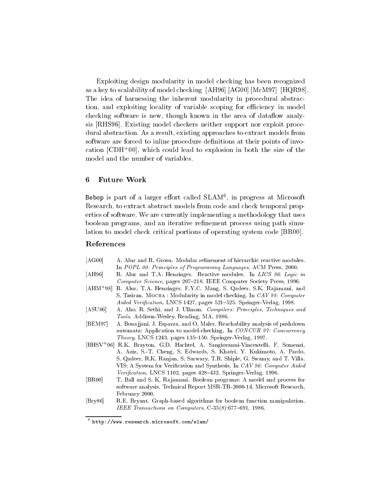Exploiting design modularity in model checking has been recognized as a key to scalability of model checking [AH96] [AG00] [McM97] [HQR98]. The idea of harnessing the inherent modularity in procedural abstraction, and exploiting locality of variable scoping for efficiency in model checking software is new, though known in the area of dataflow analysis [RHS96]. Existing model checkers neither support nor exploit procedural abstraction. As a result, existing approaches to extract models from software are forced to inline procedure definitions at their points of invo- $\alpha$  cation  $\lfloor$  (CDH  $\rfloor$  volt, which could lead to explosion in both the size of the model and the number of variables.

#### 6 Future Work

 $\mathsf{Be}\mathsf{pop}$  is part of a larger enort called  $\mathsf{SLAM}^+$ , in progress at Microsoft Research, to extract abstract models from code and check temporal properties of software. We are currently implementing a methodology that uses boolean programs, and an iterative refinement process using path simulation to model check critical portions of operating system code [BR00].

## References

- [AG00] A. Alur and R. Grosu. Modular refinement of hierarchic reactive modules. In POPL 00: Principles of Programming Languages. ACM Press, 2000.
- [AH96] R. Alur and T.A. Henzinger. Reactive modules. In LICS 96: Logic in Computer Science, pages 207-218. IEEE Computer Society Press, 1996.
- $[AHM+98]$ R. Alur, T.A. Henzinger, F.Y.C. Mang, S. Qadeer, S.K. Rajamani, and S. Tasiran. Мосна: Modularity in model checking. In CAV 98: Computer Aided Verification, LNCS 1427, pages 521-525. Springer-Verlag, 1998.
- [ASU86] A. Aho, R. Sethi, and J. Ullman. Compilers: Principles, Techniques and Tools. Addison-Wesley, Reading, MA, 1986.
- [BEM97] A. Boua jjani, J. Esparza, and O. Maler. Reachability analysis of pushdown automata: Application to model-checking. In CONCUR 97: Concurrency Theory, LNCS 1243, pages 135-150. Springer-Verlag, 1997.
- [BHSV+ 96] R.K. Brayton, G.D. Hachtel, A. Sangiovanni-Vincentelli, F. Somenzi, A. Aziz, S.-T. Cheng, S. Edwards, S. Khatri, Y. Kukimoto, A. Pardo, S. Qadeer, R.K. Ranjan, S. Sarwary, T.R. Shiple, G. Swamy, and T. Villa. VIS: A System for Verification and Synthesis. In CAV 96: Computer Aided Verification, LNCS 1102, pages 428-432. Springer-Verlag, 1996.
- [BR00] T. Ball and S. K. Ra jamani. Boolean programs: A model and process for software analysis. Technical Report MSR-TR-2000-14, Microsoft Research, February 2000.
- [Bry86] R.E. Bryant. Graph-based algorithms for boolean function manipulation. IEEE Transactions on Computers,  $C-35(8):677-691$ , 1986.

<sup>6</sup> http://www.research.microsoft.com/slam/